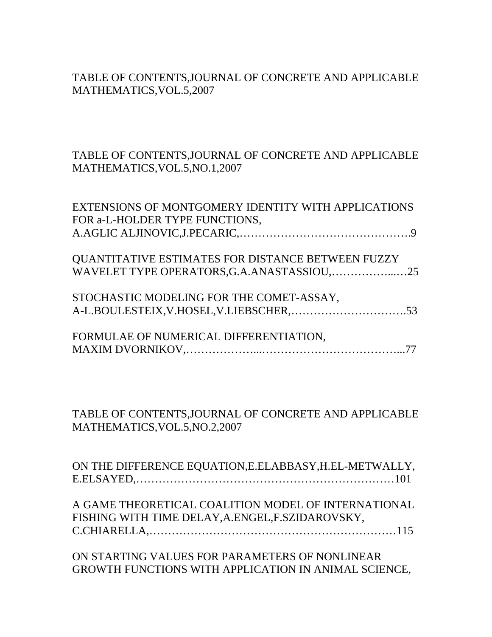## TABLE OF CONTENTS,JOURNAL OF CONCRETE AND APPLICABLE MATHEMATICS,VOL.5,2007

## TABLE OF CONTENTS,JOURNAL OF CONCRETE AND APPLICABLE MATHEMATICS,VOL.5,NO.1,2007

| EXTENSIONS OF MONTGOMERY IDENTITY WITH APPLICATIONS<br>FOR a-L-HOLDER TYPE FUNCTIONS, |  |
|---------------------------------------------------------------------------------------|--|
|                                                                                       |  |
| QUANTITATIVE ESTIMATES FOR DISTANCE BETWEEN FUZZY                                     |  |
| WAVELET TYPE OPERATORS, G.A.ANASTASSIOU,25                                            |  |
| STOCHASTIC MODELING FOR THE COMET-ASSAY,                                              |  |
|                                                                                       |  |
| FORMULAE OF NUMERICAL DIFFERENTIATION,                                                |  |
|                                                                                       |  |

TABLE OF CONTENTS,JOURNAL OF CONCRETE AND APPLICABLE MATHEMATICS,VOL.5,NO.2,2007

| ON THE DIFFERENCE EQUATION, E.ELABBASY, H.EL-METWALLY,                                                  |
|---------------------------------------------------------------------------------------------------------|
| A GAME THEORETICAL COALITION MODEL OF INTERNATIONAL<br>FISHING WITH TIME DELAY, A.ENGEL, F.SZIDAROVSKY, |
| ON STARTING VALUES FOR PARAMETERS OF NONLINEAR                                                          |

GROWTH FUNCTIONS WITH APPLICATION IN ANIMAL SCIENCE,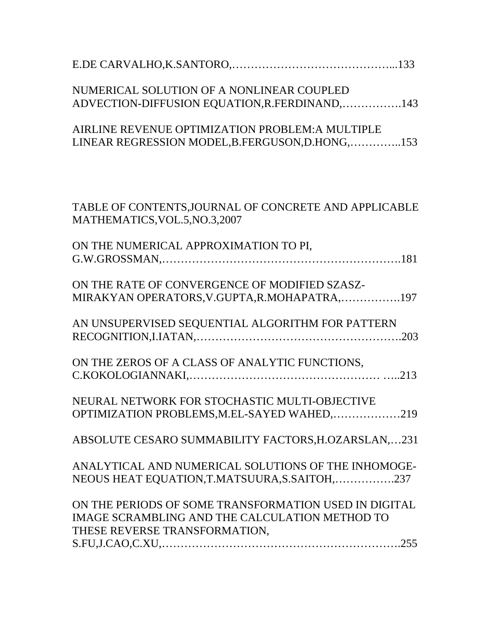| NUMERICAL SOLUTION OF A NONLINEAR COUPLED<br>ADVECTION-DIFFUSION EQUATION, R.FERDINAND, 143                                              |  |
|------------------------------------------------------------------------------------------------------------------------------------------|--|
| AIRLINE REVENUE OPTIMIZATION PROBLEM:A MULTIPLE<br>LINEAR REGRESSION MODEL, B.FERGUSON, D.HONG,153                                       |  |
|                                                                                                                                          |  |
| TABLE OF CONTENTS, JOURNAL OF CONCRETE AND APPLICABLE<br>MATHEMATICS, VOL.5, NO.3, 2007                                                  |  |
| ON THE NUMERICAL APPROXIMATION TO PI,                                                                                                    |  |
| ON THE RATE OF CONVERGENCE OF MODIFIED SZASZ-<br>MIRAKYAN OPERATORS, V.GUPTA, R.MOHAPATRA,197                                            |  |
| AN UNSUPERVISED SEQUENTIAL ALGORITHM FOR PATTERN                                                                                         |  |
| ON THE ZEROS OF A CLASS OF ANALYTIC FUNCTIONS,                                                                                           |  |
| NEURAL NETWORK FOR STOCHASTIC MULTI-OBJECTIVE<br>OPTIMIZATION PROBLEMS, M.EL-SAYED WAHED,219                                             |  |
| ABSOLUTE CESARO SUMMABILITY FACTORS, H.OZARSLAN,  231                                                                                    |  |
| ANALYTICAL AND NUMERICAL SOLUTIONS OF THE INHOMOGE-<br>NEOUS HEAT EQUATION, T.MATSUURA, S.SAITOH,237                                     |  |
| ON THE PERIODS OF SOME TRANSFORMATION USED IN DIGITAL<br>IMAGE SCRAMBLING AND THE CALCULATION METHOD TO<br>THESE REVERSE TRANSFORMATION, |  |
|                                                                                                                                          |  |